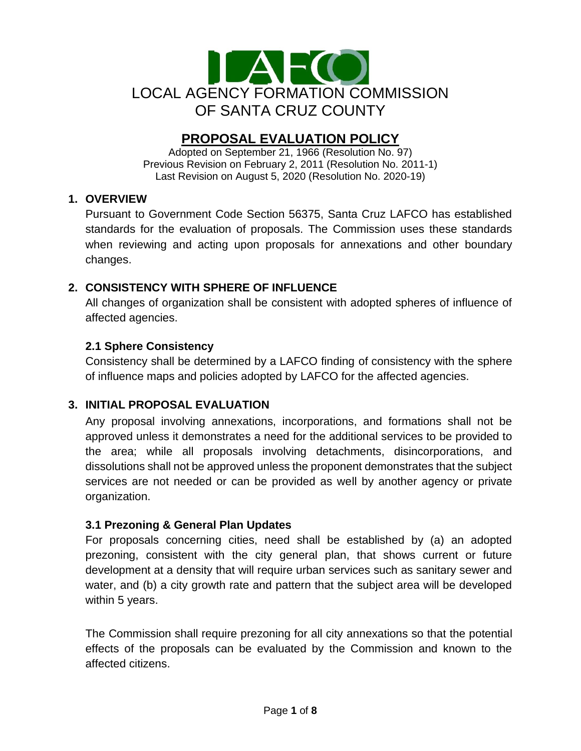

# **PROPOSAL EVALUATION POLICY**

Adopted on September 21, 1966 (Resolution No. 97) Previous Revision on February 2, 2011 (Resolution No. 2011-1) Last Revision on August 5, 2020 (Resolution No. 2020-19)

#### **1. OVERVIEW**

Pursuant to Government Code Section 56375, Santa Cruz LAFCO has established standards for the evaluation of proposals. The Commission uses these standards when reviewing and acting upon proposals for annexations and other boundary changes.

## **2. CONSISTENCY WITH SPHERE OF INFLUENCE**

All changes of organization shall be consistent with adopted spheres of influence of affected agencies.

## **2.1 Sphere Consistency**

Consistency shall be determined by a LAFCO finding of consistency with the sphere of influence maps and policies adopted by LAFCO for the affected agencies.

#### **3. INITIAL PROPOSAL EVALUATION**

Any proposal involving annexations, incorporations, and formations shall not be approved unless it demonstrates a need for the additional services to be provided to the area; while all proposals involving detachments, disincorporations, and dissolutions shall not be approved unless the proponent demonstrates that the subject services are not needed or can be provided as well by another agency or private organization.

#### **3.1 Prezoning & General Plan Updates**

For proposals concerning cities, need shall be established by (a) an adopted prezoning, consistent with the city general plan, that shows current or future development at a density that will require urban services such as sanitary sewer and water, and (b) a city growth rate and pattern that the subject area will be developed within 5 years.

The Commission shall require prezoning for all city annexations so that the potential effects of the proposals can be evaluated by the Commission and known to the affected citizens.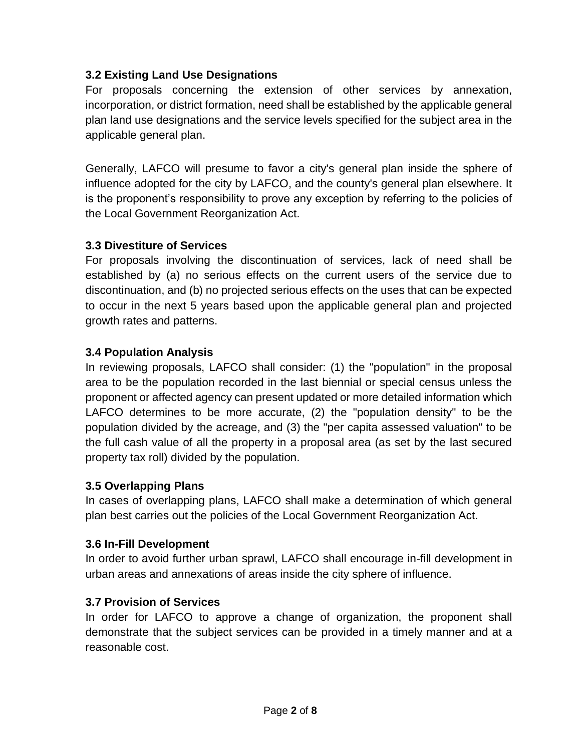## **3.2 Existing Land Use Designations**

For proposals concerning the extension of other services by annexation, incorporation, or district formation, need shall be established by the applicable general plan land use designations and the service levels specified for the subject area in the applicable general plan.

Generally, LAFCO will presume to favor a city's general plan inside the sphere of influence adopted for the city by LAFCO, and the county's general plan elsewhere. It is the proponent's responsibility to prove any exception by referring to the policies of the Local Government Reorganization Act.

#### **3.3 Divestiture of Services**

For proposals involving the discontinuation of services, lack of need shall be established by (a) no serious effects on the current users of the service due to discontinuation, and (b) no projected serious effects on the uses that can be expected to occur in the next 5 years based upon the applicable general plan and projected growth rates and patterns.

## **3.4 Population Analysis**

In reviewing proposals, LAFCO shall consider: (1) the "population" in the proposal area to be the population recorded in the last biennial or special census unless the proponent or affected agency can present updated or more detailed information which LAFCO determines to be more accurate, (2) the "population density" to be the population divided by the acreage, and (3) the "per capita assessed valuation" to be the full cash value of all the property in a proposal area (as set by the last secured property tax roll) divided by the population.

#### **3.5 Overlapping Plans**

In cases of overlapping plans, LAFCO shall make a determination of which general plan best carries out the policies of the Local Government Reorganization Act.

#### **3.6 In-Fill Development**

In order to avoid further urban sprawl, LAFCO shall encourage in-fill development in urban areas and annexations of areas inside the city sphere of influence.

#### **3.7 Provision of Services**

In order for LAFCO to approve a change of organization, the proponent shall demonstrate that the subject services can be provided in a timely manner and at a reasonable cost.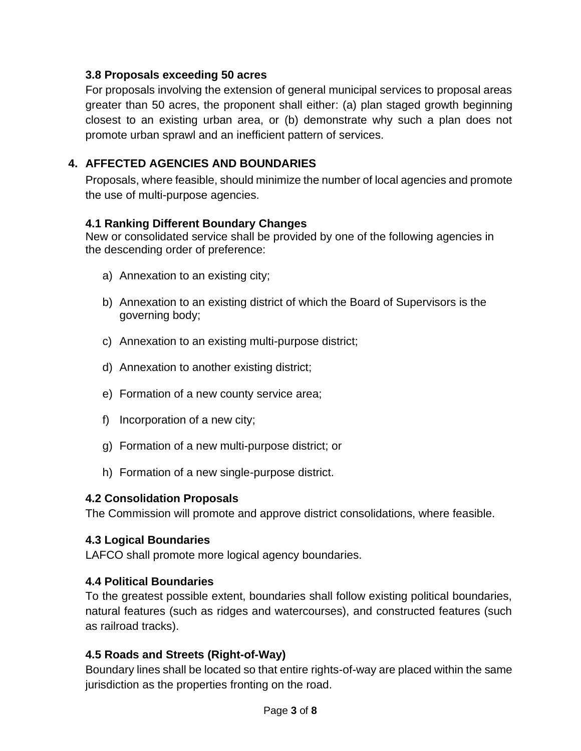#### **3.8 Proposals exceeding 50 acres**

For proposals involving the extension of general municipal services to proposal areas greater than 50 acres, the proponent shall either: (a) plan staged growth beginning closest to an existing urban area, or (b) demonstrate why such a plan does not promote urban sprawl and an inefficient pattern of services.

## **4. AFFECTED AGENCIES AND BOUNDARIES**

Proposals, where feasible, should minimize the number of local agencies and promote the use of multi-purpose agencies.

#### **4.1 Ranking Different Boundary Changes**

New or consolidated service shall be provided by one of the following agencies in the descending order of preference:

- a) Annexation to an existing city;
- b) Annexation to an existing district of which the Board of Supervisors is the governing body;
- c) Annexation to an existing multi-purpose district;
- d) Annexation to another existing district;
- e) Formation of a new county service area;
- f) Incorporation of a new city;
- g) Formation of a new multi-purpose district; or
- h) Formation of a new single-purpose district.

#### **4.2 Consolidation Proposals**

The Commission will promote and approve district consolidations, where feasible.

#### **4.3 Logical Boundaries**

LAFCO shall promote more logical agency boundaries.

#### **4.4 Political Boundaries**

To the greatest possible extent, boundaries shall follow existing political boundaries, natural features (such as ridges and watercourses), and constructed features (such as railroad tracks).

#### **4.5 Roads and Streets (Right-of-Way)**

Boundary lines shall be located so that entire rights-of-way are placed within the same jurisdiction as the properties fronting on the road.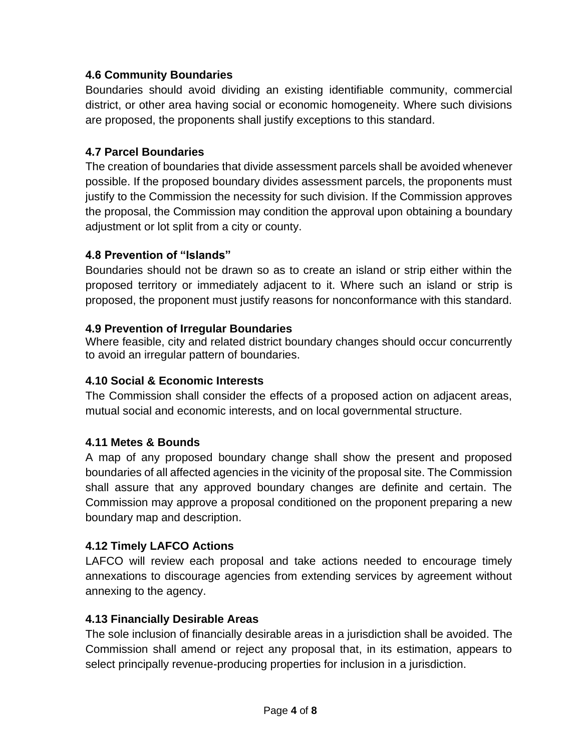## **4.6 Community Boundaries**

Boundaries should avoid dividing an existing identifiable community, commercial district, or other area having social or economic homogeneity. Where such divisions are proposed, the proponents shall justify exceptions to this standard.

#### **4.7 Parcel Boundaries**

The creation of boundaries that divide assessment parcels shall be avoided whenever possible. If the proposed boundary divides assessment parcels, the proponents must justify to the Commission the necessity for such division. If the Commission approves the proposal, the Commission may condition the approval upon obtaining a boundary adjustment or lot split from a city or county.

## **4.8 Prevention of "Islands"**

Boundaries should not be drawn so as to create an island or strip either within the proposed territory or immediately adjacent to it. Where such an island or strip is proposed, the proponent must justify reasons for nonconformance with this standard.

#### **4.9 Prevention of Irregular Boundaries**

Where feasible, city and related district boundary changes should occur concurrently to avoid an irregular pattern of boundaries.

#### **4.10 Social & Economic Interests**

The Commission shall consider the effects of a proposed action on adjacent areas, mutual social and economic interests, and on local governmental structure.

#### **4.11 Metes & Bounds**

A map of any proposed boundary change shall show the present and proposed boundaries of all affected agencies in the vicinity of the proposal site. The Commission shall assure that any approved boundary changes are definite and certain. The Commission may approve a proposal conditioned on the proponent preparing a new boundary map and description.

#### **4.12 Timely LAFCO Actions**

LAFCO will review each proposal and take actions needed to encourage timely annexations to discourage agencies from extending services by agreement without annexing to the agency.

#### **4.13 Financially Desirable Areas**

The sole inclusion of financially desirable areas in a jurisdiction shall be avoided. The Commission shall amend or reject any proposal that, in its estimation, appears to select principally revenue-producing properties for inclusion in a jurisdiction.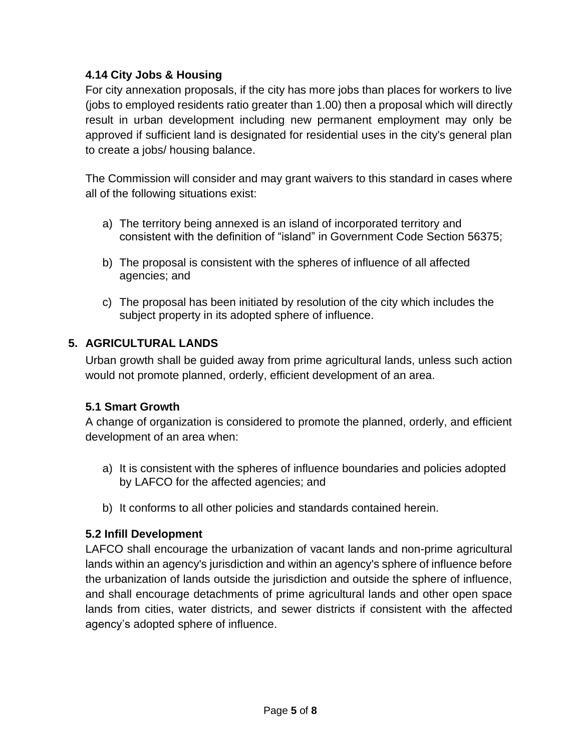## **4.14 City Jobs & Housing**

For city annexation proposals, if the city has more jobs than places for workers to live (jobs to employed residents ratio greater than 1.00) then a proposal which will directly result in urban development including new permanent employment may only be approved if sufficient land is designated for residential uses in the city's general plan to create a jobs/ housing balance.

The Commission will consider and may grant waivers to this standard in cases where all of the following situations exist:

- a) The territory being annexed is an island of incorporated territory and consistent with the definition of "island" in Government Code Section 56375;
- b) The proposal is consistent with the spheres of influence of all affected agencies; and
- c) The proposal has been initiated by resolution of the city which includes the subject property in its adopted sphere of influence.

## **5. AGRICULTURAL LANDS**

Urban growth shall be guided away from prime agricultural lands, unless such action would not promote planned, orderly, efficient development of an area.

#### **5.1 Smart Growth**

A change of organization is considered to promote the planned, orderly, and efficient development of an area when:

- a) It is consistent with the spheres of influence boundaries and policies adopted by LAFCO for the affected agencies; and
- b) It conforms to all other policies and standards contained herein.

#### **5.2 Infill Development**

LAFCO shall encourage the urbanization of vacant lands and non-prime agricultural lands within an agency's jurisdiction and within an agency's sphere of influence before the urbanization of lands outside the jurisdiction and outside the sphere of influence, and shall encourage detachments of prime agricultural lands and other open space lands from cities, water districts, and sewer districts if consistent with the affected agency's adopted sphere of influence.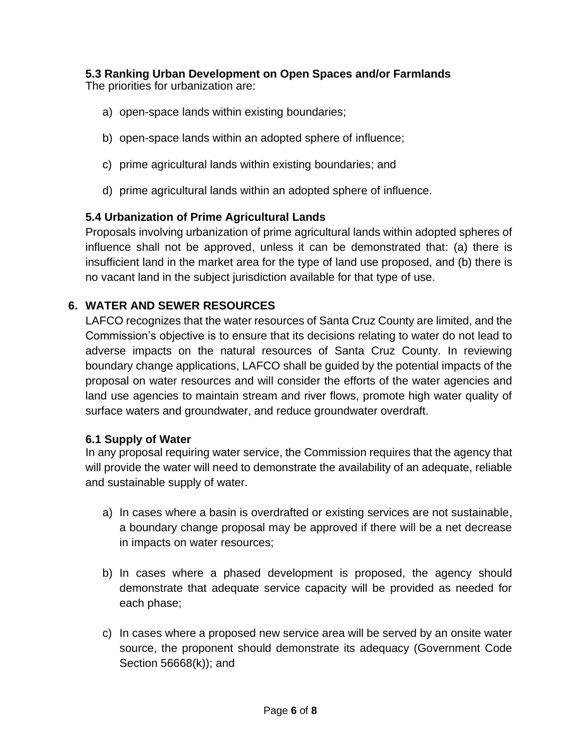#### **5.3 Ranking Urban Development on Open Spaces and/or Farmlands**  The priorities for urbanization are:

- a) open-space lands within existing boundaries;
- b) open-space lands within an adopted sphere of influence;
- c) prime agricultural lands within existing boundaries; and
- d) prime agricultural lands within an adopted sphere of influence.

#### **5.4 Urbanization of Prime Agricultural Lands**

Proposals involving urbanization of prime agricultural lands within adopted spheres of influence shall not be approved, unless it can be demonstrated that: (a) there is insufficient land in the market area for the type of land use proposed, and (b) there is no vacant land in the subject jurisdiction available for that type of use.

#### **6. WATER AND SEWER RESOURCES**

LAFCO recognizes that the water resources of Santa Cruz County are limited, and the Commission's objective is to ensure that its decisions relating to water do not lead to adverse impacts on the natural resources of Santa Cruz County. In reviewing boundary change applications, LAFCO shall be guided by the potential impacts of the proposal on water resources and will consider the efforts of the water agencies and land use agencies to maintain stream and river flows, promote high water quality of surface waters and groundwater, and reduce groundwater overdraft.

#### **6.1 Supply of Water**

In any proposal requiring water service, the Commission requires that the agency that will provide the water will need to demonstrate the availability of an adequate, reliable and sustainable supply of water.

- a) In cases where a basin is overdrafted or existing services are not sustainable, a boundary change proposal may be approved if there will be a net decrease in impacts on water resources;
- b) In cases where a phased development is proposed, the agency should demonstrate that adequate service capacity will be provided as needed for each phase;
- c) In cases where a proposed new service area will be served by an onsite water source, the proponent should demonstrate its adequacy (Government Code Section 56668(k)); and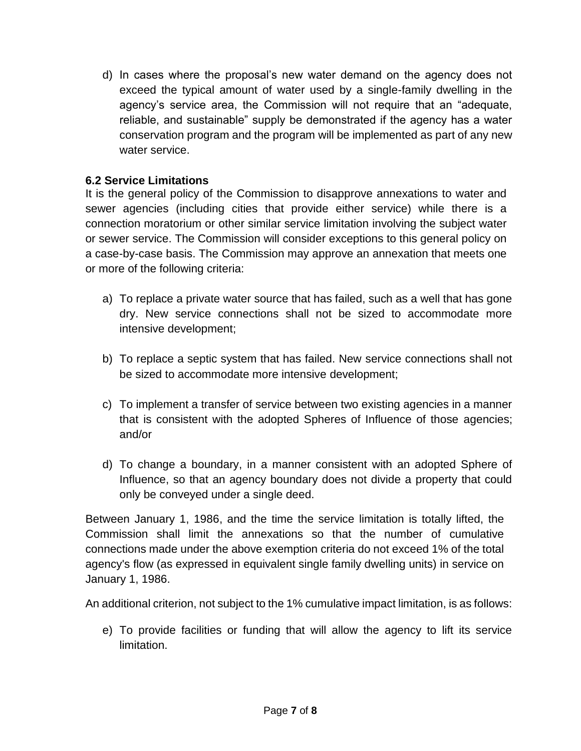d) In cases where the proposal's new water demand on the agency does not exceed the typical amount of water used by a single-family dwelling in the agency's service area, the Commission will not require that an "adequate, reliable, and sustainable" supply be demonstrated if the agency has a water conservation program and the program will be implemented as part of any new water service.

#### **6.2 Service Limitations**

It is the general policy of the Commission to disapprove annexations to water and sewer agencies (including cities that provide either service) while there is a connection moratorium or other similar service limitation involving the subject water or sewer service. The Commission will consider exceptions to this general policy on a case-by-case basis. The Commission may approve an annexation that meets one or more of the following criteria:

- a) To replace a private water source that has failed, such as a well that has gone dry. New service connections shall not be sized to accommodate more intensive development;
- b) To replace a septic system that has failed. New service connections shall not be sized to accommodate more intensive development;
- c) To implement a transfer of service between two existing agencies in a manner that is consistent with the adopted Spheres of Influence of those agencies; and/or
- d) To change a boundary, in a manner consistent with an adopted Sphere of Influence, so that an agency boundary does not divide a property that could only be conveyed under a single deed.

Between January 1, 1986, and the time the service limitation is totally lifted, the Commission shall limit the annexations so that the number of cumulative connections made under the above exemption criteria do not exceed 1% of the total agency's flow (as expressed in equivalent single family dwelling units) in service on January 1, 1986.

An additional criterion, not subject to the 1% cumulative impact limitation, is as follows:

e) To provide facilities or funding that will allow the agency to lift its service limitation.